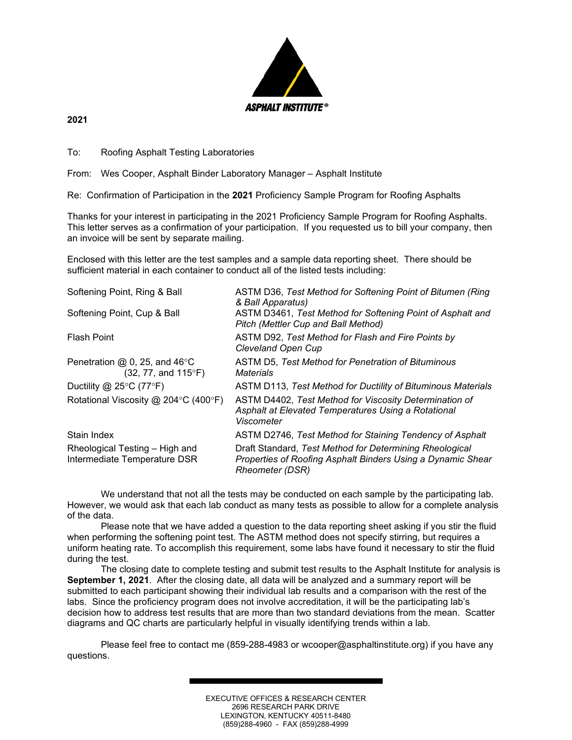

**2021**

To: Roofing Asphalt Testing Laboratories

From: Wes Cooper, Asphalt Binder Laboratory Manager – Asphalt Institute

Re: Confirmation of Participation in the **2021** Proficiency Sample Program for Roofing Asphalts

Thanks for your interest in participating in the 2021 Proficiency Sample Program for Roofing Asphalts. This letter serves as a confirmation of your participation. If you requested us to bill your company, then an invoice will be sent by separate mailing.

Enclosed with this letter are the test samples and a sample data reporting sheet. There should be sufficient material in each container to conduct all of the listed tests including:

| Softening Point, Ring & Ball                                       | ASTM D36, Test Method for Softening Point of Bitumen (Ring<br>& Ball Apparatus)                                                           |
|--------------------------------------------------------------------|-------------------------------------------------------------------------------------------------------------------------------------------|
| Softening Point, Cup & Ball                                        | ASTM D3461, Test Method for Softening Point of Asphalt and<br>Pitch (Mettler Cup and Ball Method)                                         |
| <b>Flash Point</b>                                                 | ASTM D92, Test Method for Flash and Fire Points by<br>Cleveland Open Cup                                                                  |
| Penetration $@$ 0, 25, and 46 $°C$<br>$(32, 77, and 115^{\circ}F)$ | ASTM D5, Test Method for Penetration of Bituminous<br><b>Materials</b>                                                                    |
| Ductility @ 25 $\degree$ C (77 $\degree$ F)                        | ASTM D113, Test Method for Ductility of Bituminous Materials                                                                              |
| Rotational Viscosity @ 204 $\degree$ C (400 $\degree$ F)           | ASTM D4402, Test Method for Viscosity Determination of<br>Asphalt at Elevated Temperatures Using a Rotational<br>Viscometer               |
| Stain Index                                                        | ASTM D2746, Test Method for Staining Tendency of Asphalt                                                                                  |
| Rheological Testing - High and<br>Intermediate Temperature DSR     | Draft Standard, Test Method for Determining Rheological<br>Properties of Roofing Asphalt Binders Using a Dynamic Shear<br>Rheometer (DSR) |

We understand that not all the tests may be conducted on each sample by the participating lab. However, we would ask that each lab conduct as many tests as possible to allow for a complete analysis of the data.

Please note that we have added a question to the data reporting sheet asking if you stir the fluid when performing the softening point test. The ASTM method does not specify stirring, but requires a uniform heating rate. To accomplish this requirement, some labs have found it necessary to stir the fluid during the test.

The closing date to complete testing and submit test results to the Asphalt Institute for analysis is **September 1, 2021**. After the closing date, all data will be analyzed and a summary report will be submitted to each participant showing their individual lab results and a comparison with the rest of the labs. Since the proficiency program does not involve accreditation, it will be the participating lab's decision how to address test results that are more than two standard deviations from the mean. Scatter diagrams and QC charts are particularly helpful in visually identifying trends within a lab.

Please feel free to contact me (859-288-4983 or wcooper@asphaltinstitute.org) if you have any questions.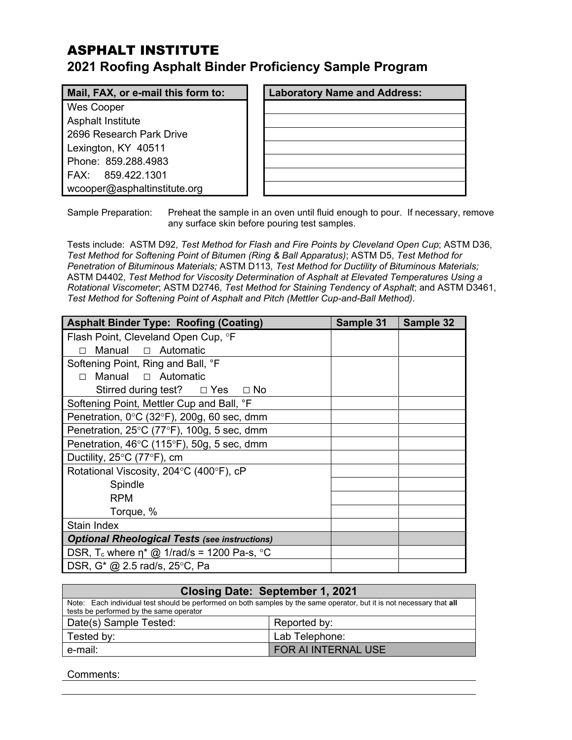# ASPHALT INSTITUTE **2021 Roofing Asphalt Binder Proficiency Sample Program**

## **Mail, FAX, or e-mail this form to:**

Wes Cooper Asphalt Institute 2696 Research Park Drive Lexington, KY 40511 Phone: 859.288.4983 FAX: 859.422.1301 wcooper@asphaltinstitute.org

| <b>Laboratory Name and Address:</b> |  |  |
|-------------------------------------|--|--|
|                                     |  |  |
|                                     |  |  |
|                                     |  |  |
|                                     |  |  |
|                                     |  |  |
|                                     |  |  |

Sample Preparation: Preheat the sample in an oven until fluid enough to pour. If necessary, remove any surface skin before pouring test samples.

Tests include: ASTM D92, *Test Method for Flash and Fire Points by Cleveland Open Cup*; ASTM D36, *Test Method for Softening Point of Bitumen (Ring & Ball Apparatus)*; ASTM D5, *Test Method for Penetration of Bituminous Materials;* ASTM D113*, Test Method for Ductility of Bituminous Materials;*  ASTM D4402, *Test Method for Viscosity Determination of Asphalt at Elevated Temperatures Using a Rotational Viscometer*; ASTM D2746, *Test Method for Staining Tendency of Asphalt*; and ASTM D3461, *Test Method for Softening Point of Asphalt and Pitch (Mettler Cup-and-Ball Method)*.

| <b>Asphalt Binder Type: Roofing (Coating)</b>                   | Sample 31 | Sample 32 |
|-----------------------------------------------------------------|-----------|-----------|
| Flash Point, Cleveland Open Cup, °F                             |           |           |
| Manual □ Automatic                                              |           |           |
| Softening Point, Ring and Ball, °F                              |           |           |
| Manual □ Automatic<br>П                                         |           |           |
| Stirred during test? $\Box$ Yes $\Box$ No                       |           |           |
| Softening Point, Mettler Cup and Ball, °F                       |           |           |
| Penetration, $0^{\circ}$ C (32 $^{\circ}$ F), 200g, 60 sec, dmm |           |           |
| Penetration, 25°C (77°F), 100g, 5 sec, dmm                      |           |           |
| Penetration, 46°C (115°F), 50g, 5 sec, dmm                      |           |           |
| Ductility, $25^{\circ}$ C (77 $^{\circ}$ F), cm                 |           |           |
| Rotational Viscosity, 204°C (400°F), cP                         |           |           |
| Spindle                                                         |           |           |
| <b>RPM</b>                                                      |           |           |
| Torque, %                                                       |           |           |
| Stain Index                                                     |           |           |
| <b>Optional Rheological Tests (see instructions)</b>            |           |           |
| DSR, T <sub>c</sub> where $\eta^*$ @ 1/rad/s = 1200 Pa-s, °C    |           |           |
| DSR, G* @ 2.5 rad/s, 25°C, Pa                                   |           |           |

| Closing Date: September 1, 2021                                                                                                                                  |                    |  |  |
|------------------------------------------------------------------------------------------------------------------------------------------------------------------|--------------------|--|--|
| Note: Each individual test should be performed on both samples by the same operator, but it is not necessary that all<br>tests be performed by the same operator |                    |  |  |
| Date(s) Sample Tested:                                                                                                                                           | Reported by:       |  |  |
| Tested by:                                                                                                                                                       | Lab Telephone:     |  |  |
| e-mail:                                                                                                                                                          | FOR ALINTERNAL USE |  |  |

Comments: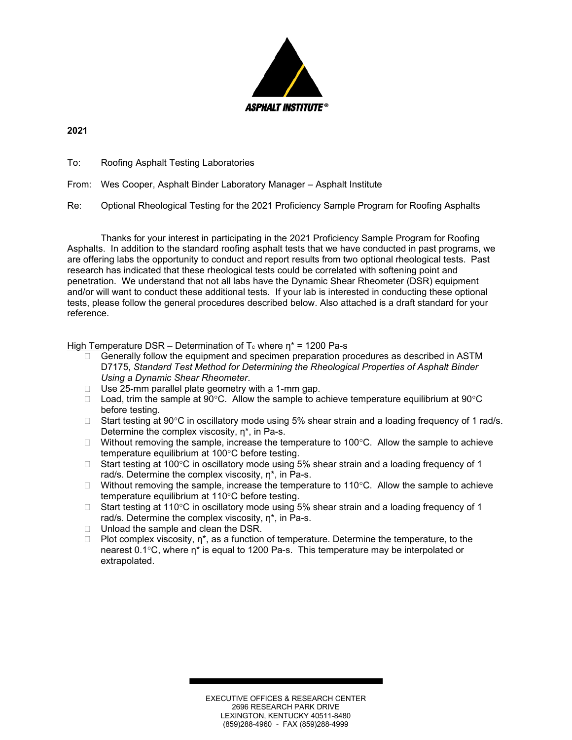

**2021**

To: Roofing Asphalt Testing Laboratories

From: Wes Cooper, Asphalt Binder Laboratory Manager – Asphalt Institute

Re: Optional Rheological Testing for the 2021 Proficiency Sample Program for Roofing Asphalts

Thanks for your interest in participating in the 2021 Proficiency Sample Program for Roofing Asphalts. In addition to the standard roofing asphalt tests that we have conducted in past programs, we are offering labs the opportunity to conduct and report results from two optional rheological tests. Past research has indicated that these rheological tests could be correlated with softening point and penetration. We understand that not all labs have the Dynamic Shear Rheometer (DSR) equipment and/or will want to conduct these additional tests. If your lab is interested in conducting these optional tests, please follow the general procedures described below. Also attached is a draft standard for your reference.

#### High Temperature DSR – Determination of  $T_c$  where  $\eta^*$  = 1200 Pa-s

- $\Box$  Generally follow the equipment and specimen preparation procedures as described in ASTM D7175, *Standard Test Method for Determining the Rheological Properties of Asphalt Binder Using a Dynamic Shear Rheometer*.
- $\Box$  Use 25-mm parallel plate geometry with a 1-mm gap.
- $\Box$  Load, trim the sample at 90°C. Allow the sample to achieve temperature equilibrium at 90°C before testing.
- $\Box$  Start testing at 90°C in oscillatory mode using 5% shear strain and a loading frequency of 1 rad/s. Determine the complex viscosity, η\*, in Pa-s.
- $\Box$  Without removing the sample, increase the temperature to 100 $\degree$ C. Allow the sample to achieve temperature equilibrium at 100°C before testing.
- $\Box$  Start testing at 100°C in oscillatory mode using 5% shear strain and a loading frequency of 1 rad/s. Determine the complex viscosity, η\*, in Pa-s.
- $\Box$  Without removing the sample, increase the temperature to 110 $\degree$ C. Allow the sample to achieve temperature equilibrium at 110°C before testing.
- $\Box$  Start testing at 110°C in oscillatory mode using 5% shear strain and a loading frequency of 1 rad/s. Determine the complex viscosity, η\*, in Pa-s.
- $\Box$  Unload the sample and clean the DSR.
- $\Box$  Plot complex viscosity,  $\eta^*$ , as a function of temperature. Determine the temperature, to the nearest 0.1°C, where η\* is equal to 1200 Pa-s. This temperature may be interpolated or extrapolated.

EXECUTIVE OFFICES & RESEARCH CENTER 2696 RESEARCH PARK DRIVE LEXINGTON, KENTUCKY 40511-8480 (859)288-4960 - FAX (859)288-4999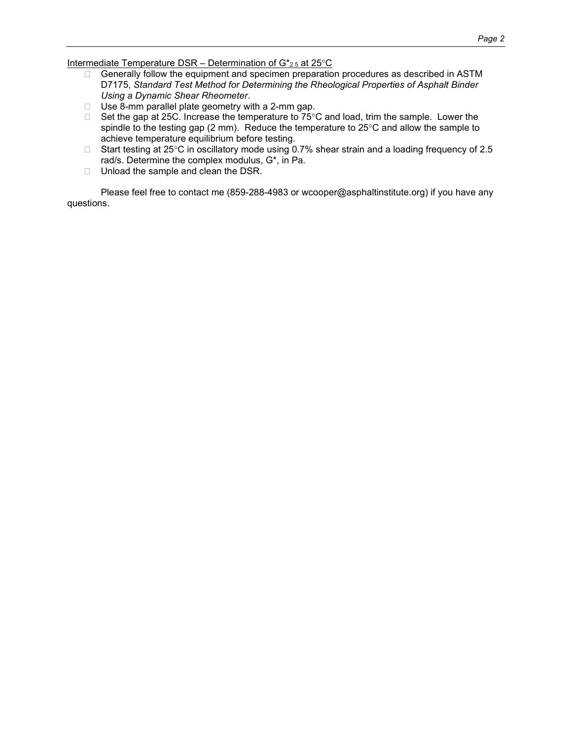Intermediate Temperature DSR - Determination of G\*2.5 at 25°C

- $\Box$  Generally follow the equipment and specimen preparation procedures as described in ASTM D7175, *Standard Test Method for Determining the Rheological Properties of Asphalt Binder Using a Dynamic Shear Rheometer*.
- $\Box$  Use 8-mm parallel plate geometry with a 2-mm gap.
- $\Box$  Set the gap at 25C. Increase the temperature to 75°C and load, trim the sample. Lower the spindle to the testing gap (2 mm). Reduce the temperature to  $25^{\circ}$ C and allow the sample to achieve temperature equilibrium before testing.
- □ Start testing at 25°C in oscillatory mode using 0.7% shear strain and a loading frequency of 2.5 rad/s. Determine the complex modulus, G\*, in Pa.
- $\Box$  Unload the sample and clean the DSR.

Please feel free to contact me (859-288-4983 or wcooper@asphaltinstitute.org) if you have any questions.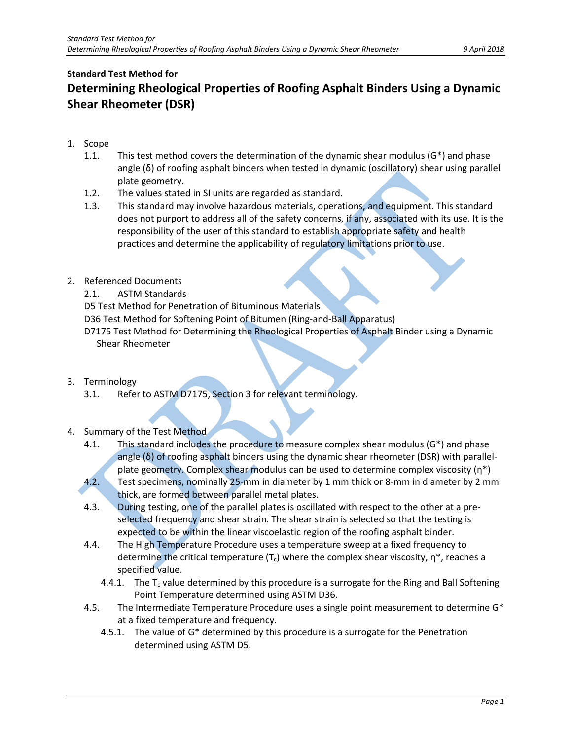# **Standard Test Method for Determining Rheological Properties of Roofing Asphalt Binders Using a Dynamic Shear Rheometer (DSR)**

- 1. Scope
	- 1.1. This test method covers the determination of the dynamic shear modulus  $(G^*)$  and phase angle (δ) of roofing asphalt binders when tested in dynamic (oscillatory) shear using parallel plate geometry.
	- 1.2. The values stated in SI units are regarded as standard.
	- 1.3. This standard may involve hazardous materials, operations, and equipment. This standard does not purport to address all of the safety concerns, if any, associated with its use. It is the responsibility of the user of this standard to establish appropriate safety and health practices and determine the applicability of regulatory limitations prior to use.
- 2. Referenced Documents
	- 2.1. ASTM Standards
	- D5 Test Method for Penetration of Bituminous Materials
	- D36 Test Method for Softening Point of Bitumen (Ring-and-Ball Apparatus)
	- D7175 Test Method for Determining the Rheological Properties of Asphalt Binder using a Dynamic Shear Rheometer
- 3. Terminology
	- 3.1. Refer to ASTM D7175, Section 3 for relevant terminology.
- 4. Summary of the Test Method
	- 4.1. This standard includes the procedure to measure complex shear modulus  $(G^*)$  and phase angle (δ) of roofing asphalt binders using the dynamic shear rheometer (DSR) with parallelplate geometry. Complex shear modulus can be used to determine complex viscosity  $(n^*)$ 4.2. Test specimens, nominally 25-mm in diameter by 1 mm thick or 8-mm in diameter by 2 mm thick, are formed between parallel metal plates.
	- 4.3. During testing, one of the parallel plates is oscillated with respect to the other at a preselected frequency and shear strain. The shear strain is selected so that the testing is expected to be within the linear viscoelastic region of the roofing asphalt binder.
	- 4.4. The High Temperature Procedure uses a temperature sweep at a fixed frequency to determine the critical temperature  $(T_c)$  where the complex shear viscosity,  $\eta^*$ , reaches a specified value.
		- 4.4.1. The  $T_c$  value determined by this procedure is a surrogate for the Ring and Ball Softening Point Temperature determined using ASTM D36.
	- 4.5. The Intermediate Temperature Procedure uses a single point measurement to determine G\* at a fixed temperature and frequency.
		- 4.5.1. The value of G\* determined by this procedure is a surrogate for the Penetration determined using ASTM D5.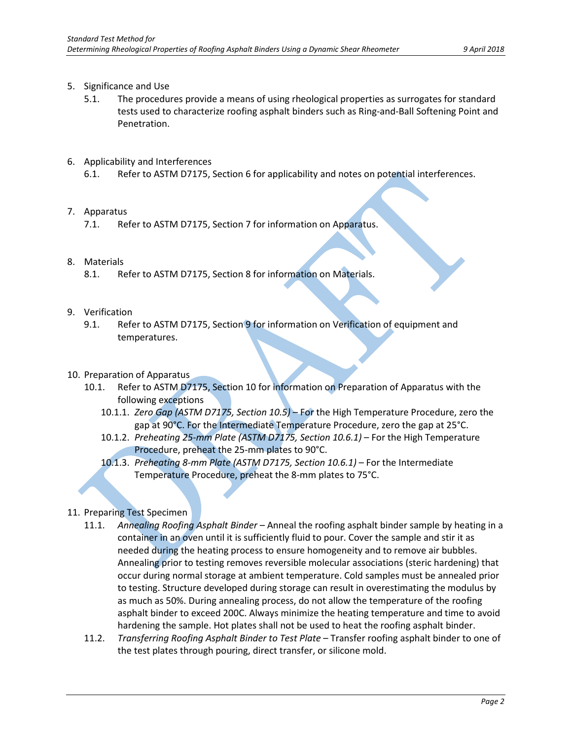- 5. Significance and Use
	- 5.1. The procedures provide a means of using rheological properties as surrogates for standard tests used to characterize roofing asphalt binders such as Ring-and-Ball Softening Point and Penetration.
- 6. Applicability and Interferences
	- 6.1. Refer to ASTM D7175, Section 6 for applicability and notes on potential interferences.
- 7. Apparatus
	- 7.1. Refer to ASTM D7175, Section 7 for information on Apparatus.
- 8. Materials
	- 8.1. Refer to ASTM D7175, Section 8 for information on Materials.
- 9. Verification
	- 9.1. Refer to ASTM D7175, Section 9 for information on Verification of equipment and temperatures.
- 10. Preparation of Apparatus
	- 10.1. Refer to ASTM D7175, Section 10 for information on Preparation of Apparatus with the following exceptions
		- 10.1.1. *Zero Gap (ASTM D7175, Section 10.5)* For the High Temperature Procedure, zero the gap at 90°C. For the Intermediate Temperature Procedure, zero the gap at 25°C.
		- 10.1.2. *Preheating 25-mm Plate (ASTM D7175, Section 10.6.1)* For the High Temperature Procedure, preheat the 25-mm plates to 90°C.
		- 10.1.3. *Preheating 8-mm Plate (ASTM D7175, Section 10.6.1)* For the Intermediate Temperature Procedure, preheat the 8-mm plates to 75°C.
- 11. Preparing Test Specimen
	- 11.1. *Annealing Roofing Asphalt Binder* Anneal the roofing asphalt binder sample by heating in a container in an oven until it is sufficiently fluid to pour. Cover the sample and stir it as needed during the heating process to ensure homogeneity and to remove air bubbles. Annealing prior to testing removes reversible molecular associations (steric hardening) that occur during normal storage at ambient temperature. Cold samples must be annealed prior to testing. Structure developed during storage can result in overestimating the modulus by as much as 50%. During annealing process, do not allow the temperature of the roofing asphalt binder to exceed 200C. Always minimize the heating temperature and time to avoid hardening the sample. Hot plates shall not be used to heat the roofing asphalt binder.
	- 11.2. *Transferring Roofing Asphalt Binder to Test Plate* Transfer roofing asphalt binder to one of the test plates through pouring, direct transfer, or silicone mold.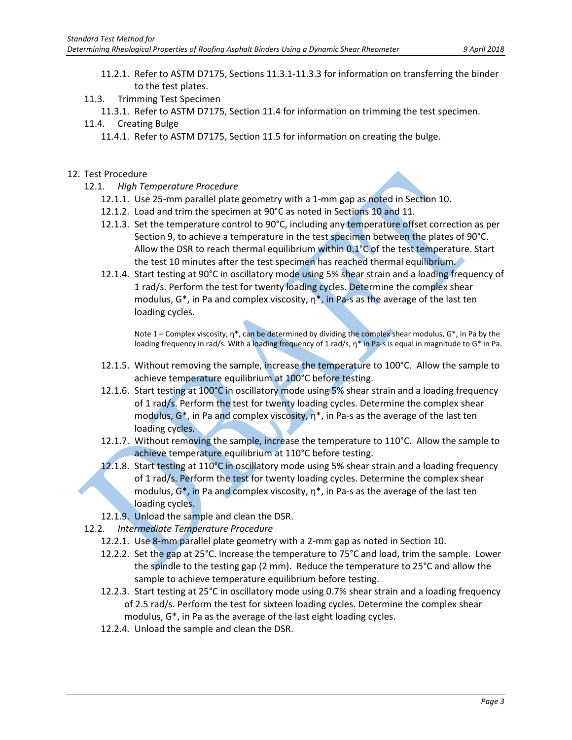- 11.2.1. Refer to ASTM D7175, Sections 11.3.1-11.3.3 for information on transferring the binder to the test plates.
- 11.3. Trimming Test Specimen
	- 11.3.1. Refer to ASTM D7175, Section 11.4 for information on trimming the test specimen.
- 11.4. Creating Bulge
	- 11.4.1. Refer to ASTM D7175, Section 11.5 for information on creating the bulge.

### 12. Test Procedure

- 12.1. *High Temperature Procedure*
	- 12.1.1. Use 25-mm parallel plate geometry with a 1-mm gap as noted in Section 10.
	- 12.1.2. Load and trim the specimen at 90°C as noted in Sections 10 and 11.
	- 12.1.3. Set the temperature control to 90°C, including any temperature offset correction as per Section 9, to achieve a temperature in the test specimen between the plates of 90°C. Allow the DSR to reach thermal equilibrium within 0.1°C of the test temperature. Start the test 10 minutes after the test specimen has reached thermal equilibrium.
	- 12.1.4. Start testing at 90°C in oscillatory mode using 5% shear strain and a loading frequency of 1 rad/s. Perform the test for twenty loading cycles. Determine the complex shear modulus,  $G^*$ , in Pa and complex viscosity,  $\eta^*$ , in Pa-s as the average of the last ten loading cycles.

Note 1 – Complex viscosity,  $\eta^*$ , can be determined by dividing the complex shear modulus,  $G^*$ , in Pa by the loading frequency in rad/s. With a loading frequency of 1 rad/s, η\* in Pa-s is equal in magnitude to G\* in Pa.

- 12.1.5. Without removing the sample, increase the temperature to  $100^{\circ}$ C. Allow the sample to achieve temperature equilibrium at 100°C before testing.
- 12.1.6. Start testing at 100°C in oscillatory mode using 5% shear strain and a loading frequency of 1 rad/s. Perform the test for twenty loading cycles. Determine the complex shear modulus,  $G^*$ , in Pa and complex viscosity,  $\eta^*$ , in Pa-s as the average of the last ten loading cycles.
- 12.1.7. Without removing the sample, increase the temperature to 110°C. Allow the sample to achieve temperature equilibrium at 110°C before testing.
- 12.1.8. Start testing at 110°C in oscillatory mode using 5% shear strain and a loading frequency of 1 rad/s. Perform the test for twenty loading cycles. Determine the complex shear modulus,  $G^*$ , in Pa and complex viscosity,  $\eta^*$ , in Pa-s as the average of the last ten loading cycles.
- 12.1.9. Unload the sample and clean the DSR.
- 12.2. *Intermediate Temperature Procedure*
	- 12.2.1. Use 8-mm parallel plate geometry with a 2-mm gap as noted in Section 10.
	- 12.2.2. Set the gap at 25°C. Increase the temperature to 75°C and load, trim the sample. Lower the spindle to the testing gap (2 mm). Reduce the temperature to 25°C and allow the sample to achieve temperature equilibrium before testing.
	- 12.2.3. Start testing at 25°C in oscillatory mode using 0.7% shear strain and a loading frequency of 2.5 rad/s. Perform the test for sixteen loading cycles. Determine the complex shear modulus, G\*, in Pa as the average of the last eight loading cycles.
	- 12.2.4. Unload the sample and clean the DSR.